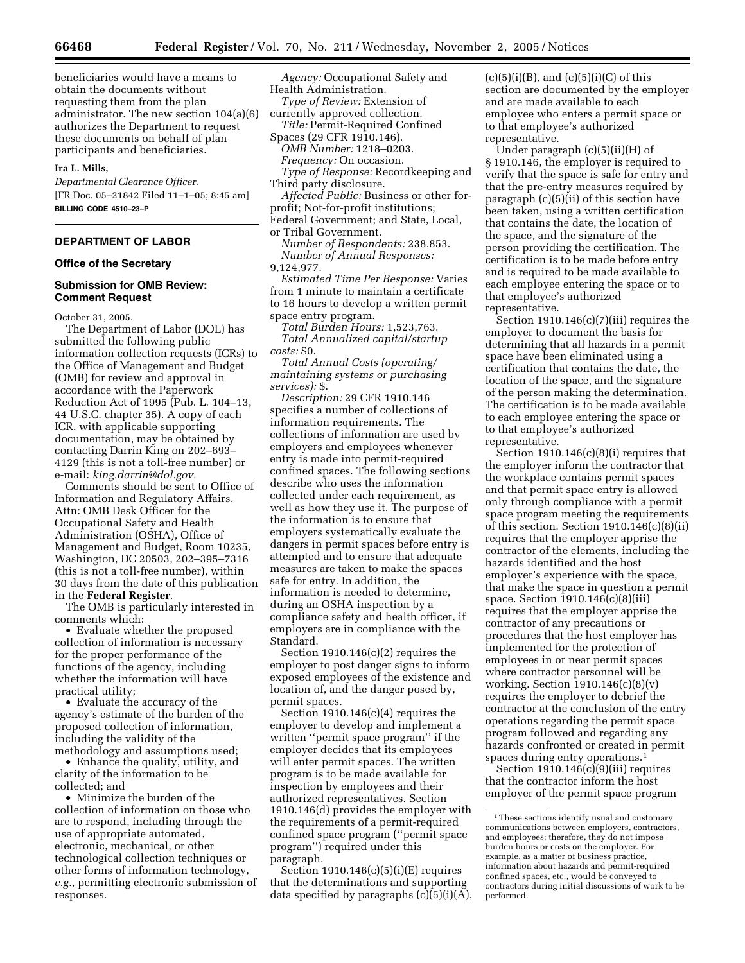beneficiaries would have a means to obtain the documents without requesting them from the plan administrator. The new section 104(a)(6) authorizes the Department to request these documents on behalf of plan participants and beneficiaries.

#### **Ira L. Mills,**

*Departmental Clearance Officer.*  [FR Doc. 05–21842 Filed 11–1–05; 8:45 am] **BILLING CODE 4510–23–P** 

# **DEPARTMENT OF LABOR**

### **Office of the Secretary**

### **Submission for OMB Review: Comment Request**

October 31, 2005.

The Department of Labor (DOL) has submitted the following public information collection requests (ICRs) to the Office of Management and Budget (OMB) for review and approval in accordance with the Paperwork Reduction Act of 1995 (Pub. L. 104–13, 44 U.S.C. chapter 35). A copy of each ICR, with applicable supporting documentation, may be obtained by contacting Darrin King on 202–693– 4129 (this is not a toll-free number) or e-mail: *king.darrin@dol.gov.* 

Comments should be sent to Office of Information and Regulatory Affairs, Attn: OMB Desk Officer for the Occupational Safety and Health Administration (OSHA), Office of Management and Budget, Room 10235, Washington, DC 20503, 202–395–7316 (this is not a toll-free number), within 30 days from the date of this publication in the **Federal Register**.

The OMB is particularly interested in comments which:

• Evaluate whether the proposed collection of information is necessary for the proper performance of the functions of the agency, including whether the information will have practical utility;

• Evaluate the accuracy of the agency's estimate of the burden of the proposed collection of information, including the validity of the methodology and assumptions used;

• Enhance the quality, utility, and clarity of the information to be collected; and

• Minimize the burden of the collection of information on those who are to respond, including through the use of appropriate automated, electronic, mechanical, or other technological collection techniques or other forms of information technology, *e.g.*, permitting electronic submission of responses.

*Agency:* Occupational Safety and Health Administration.

*Type of Review:* Extension of

currently approved collection. *Title:* Permit-Required Confined

Spaces (29 CFR 1910.146). *OMB Number:* 1218–0203.

*Frequency:* On occasion.

*Type of Response:* Recordkeeping and Third party disclosure.

*Affected Public:* Business or other forprofit; Not-for-profit institutions;

Federal Government; and State, Local, or Tribal Government.

*Number of Respondents:* 238,853. *Number of Annual Responses:*  9,124,977.

*Estimated Time Per Response:* Varies from 1 minute to maintain a certificate to 16 hours to develop a written permit space entry program.

*Total Burden Hours:* 1,523,763. *Total Annualized capital/startup costs:* \$0.

*Total Annual Costs (operating/ maintaining systems or purchasing services):* \$.

*Description:* 29 CFR 1910.146 specifies a number of collections of information requirements. The collections of information are used by employers and employees whenever entry is made into permit-required confined spaces. The following sections describe who uses the information collected under each requirement, as well as how they use it. The purpose of the information is to ensure that employers systematically evaluate the dangers in permit spaces before entry is attempted and to ensure that adequate measures are taken to make the spaces safe for entry. In addition, the information is needed to determine, during an OSHA inspection by a compliance safety and health officer, if employers are in compliance with the Standard.

Section  $1910.146(c)(2)$  requires the employer to post danger signs to inform exposed employees of the existence and location of, and the danger posed by, permit spaces.

Section  $1910.146(c)(4)$  requires the employer to develop and implement a written ''permit space program'' if the employer decides that its employees will enter permit spaces. The written program is to be made available for inspection by employees and their authorized representatives. Section 1910.146(d) provides the employer with the requirements of a permit-required confined space program (''permit space program'') required under this paragraph.

Section 1910.146(c)(5)(i)(E) requires that the determinations and supporting data specified by paragraphs  $(c)(5)(i)(A)$ ,  $(c)(5)(i)(B)$ , and  $(c)(5)(i)(C)$  of this section are documented by the employer and are made available to each employee who enters a permit space or to that employee's authorized representative.

Under paragraph (c)(5)(ii)(H) of § 1910.146, the employer is required to verify that the space is safe for entry and that the pre-entry measures required by paragraph (c)(5)(ii) of this section have been taken, using a written certification that contains the date, the location of the space, and the signature of the person providing the certification. The certification is to be made before entry and is required to be made available to each employee entering the space or to that employee's authorized representative.

Section 1910.146(c)(7)(iii) requires the employer to document the basis for determining that all hazards in a permit space have been eliminated using a certification that contains the date, the location of the space, and the signature of the person making the determination. The certification is to be made available to each employee entering the space or to that employee's authorized representative.

Section 1910.146(c)(8)(i) requires that the employer inform the contractor that the workplace contains permit spaces and that permit space entry is allowed only through compliance with a permit space program meeting the requirements of this section. Section 1910.146(c)(8)(ii) requires that the employer apprise the contractor of the elements, including the hazards identified and the host employer's experience with the space, that make the space in question a permit space. Section 1910.146(c)(8)(iii) requires that the employer apprise the contractor of any precautions or procedures that the host employer has implemented for the protection of employees in or near permit spaces where contractor personnel will be working. Section 1910.146(c)(8)(v) requires the employer to debrief the contractor at the conclusion of the entry operations regarding the permit space program followed and regarding any hazards confronted or created in permit spaces during entry operations.1

Section 1910.146(c)(9)(iii) requires that the contractor inform the host employer of the permit space program

<sup>&</sup>lt;sup>1</sup>These sections identify usual and customary communications between employers, contractors, and employees; therefore, they do not impose burden hours or costs on the employer. For example, as a matter of business practice, information about hazards and permit-required confined spaces, etc., would be conveyed to contractors during initial discussions of work to be performed.